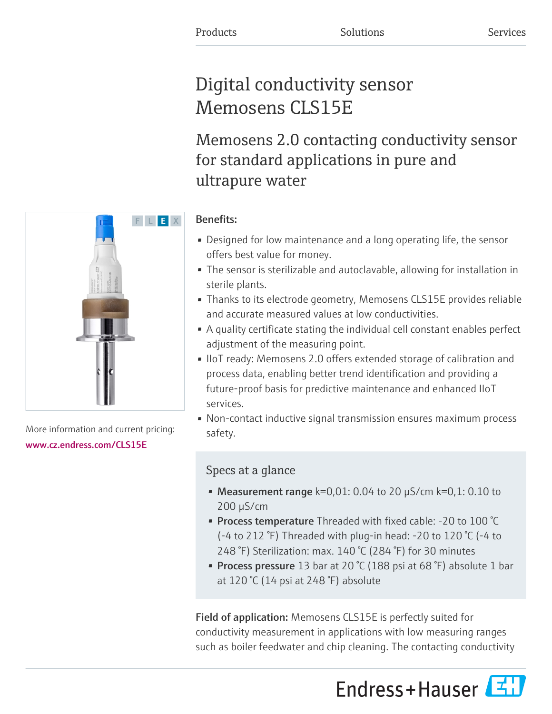# Digital conductivity sensor Memosens CLS15E

Memosens 2.0 contacting conductivity sensor for standard applications in pure and ultrapure water

### Benefits:

- Designed for low maintenance and a long operating life, the sensor offers best value for money.
- The sensor is sterilizable and autoclavable, allowing for installation in sterile plants.
- Thanks to its electrode geometry, Memosens CLS15E provides reliable and accurate measured values at low conductivities.
- A quality certificate stating the individual cell constant enables perfect adjustment of the measuring point.
- IIoT ready: Memosens 2.0 offers extended storage of calibration and process data, enabling better trend identification and providing a future-proof basis for predictive maintenance and enhanced IIoT services.
- Non-contact inductive signal transmission ensures maximum process safety.

## Specs at a glance

- Measurement range  $k=0,01: 0.04$  to 20  $\mu$ S/cm  $k=0,1: 0.10$  to 200 µS/cm
- Process temperature Threaded with fixed cable: -20 to 100 °C (-4 to 212 °F) Threaded with plug-in head: -20 to 120 °C (-4 to 248 °F) Sterilization: max. 140 °C (284 °F) for 30 minutes
- Process pressure 13 bar at 20 °C (188 psi at 68 °F) absolute 1 bar at 120 °C (14 psi at 248 °F) absolute

Field of application: Memosens CLS15E is perfectly suited for conductivity measurement in applications with low measuring ranges such as boiler feedwater and chip cleaning. The contacting conductivity





More information and current pricing: [www.cz.endress.com/CLS15E](https://www.cz.endress.com/CLS15E)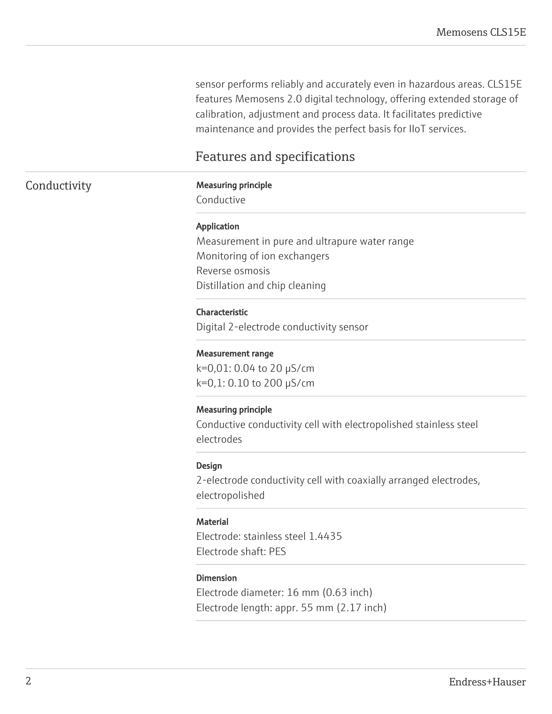sensor performs reliably and accurately even in hazardous areas. CLS15E features Memosens 2.0 digital technology, offering extended storage of calibration, adjustment and process data. It facilitates predictive maintenance and provides the perfect basis for IIoT services.

### Features and specifications

#### Conductivity Measuring principle

Conductive

#### Application

Measurement in pure and ultrapure water range Monitoring of ion exchangers Reverse osmosis Distillation and chip cleaning

#### Characteristic

Digital 2-electrode conductivity sensor

#### Measurement range

k=0,01: 0.04 to 20 µS/cm k=0,1: 0.10 to 200 µS/cm

#### Measuring principle

Conductive conductivity cell with electropolished stainless steel electrodes

#### Design

2-electrode conductivity cell with coaxially arranged electrodes, electropolished

#### **Material**

Electrode: stainless steel 1.4435 Electrode shaft: PES

#### Dimension

Electrode diameter: 16 mm (0.63 inch) Electrode length: appr. 55 mm (2.17 inch)